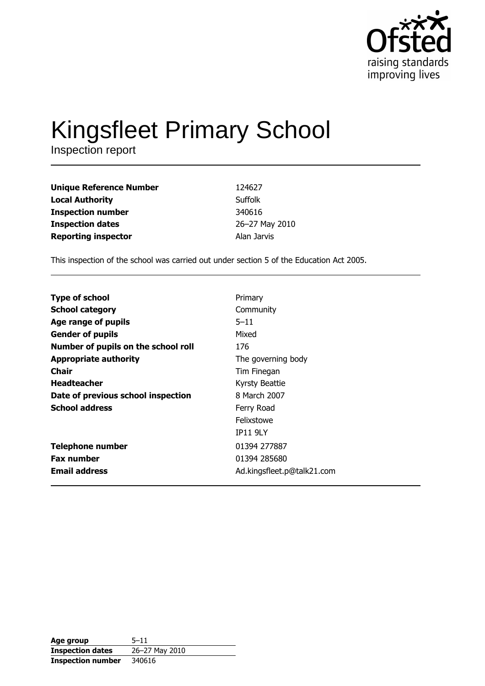

# Kingsfleet Primary School

| <b>Unique Reference Number</b> | 124627         |
|--------------------------------|----------------|
| <b>Local Authority</b>         | Suffolk        |
| <b>Inspection number</b>       | 340616         |
| <b>Inspection dates</b>        | 26-27 May 2010 |
| <b>Reporting inspector</b>     | Alan Jarvis    |

This inspection of the school was carried out under section 5 of the Education Act 2005.

| <b>Type of school</b>               | Primary                    |
|-------------------------------------|----------------------------|
| <b>School category</b>              | Community                  |
| Age range of pupils                 | $5 - 11$                   |
| <b>Gender of pupils</b>             | Mixed                      |
| Number of pupils on the school roll | 176                        |
| <b>Appropriate authority</b>        | The governing body         |
| Chair                               | Tim Finegan                |
| <b>Headteacher</b>                  | Kyrsty Beattie             |
| Date of previous school inspection  | 8 March 2007               |
| <b>School address</b>               | Ferry Road                 |
|                                     | Felixstowe                 |
|                                     | <b>IP11 9LY</b>            |
| <b>Telephone number</b>             | 01394 277887               |
| <b>Fax number</b>                   | 01394 285680               |
| <b>Email address</b>                | Ad.kingsfleet.p@talk21.com |
|                                     |                            |

| Age group                | $5 - 11$       |
|--------------------------|----------------|
| <b>Inspection dates</b>  | 26-27 May 2010 |
| <b>Inspection number</b> | 340616         |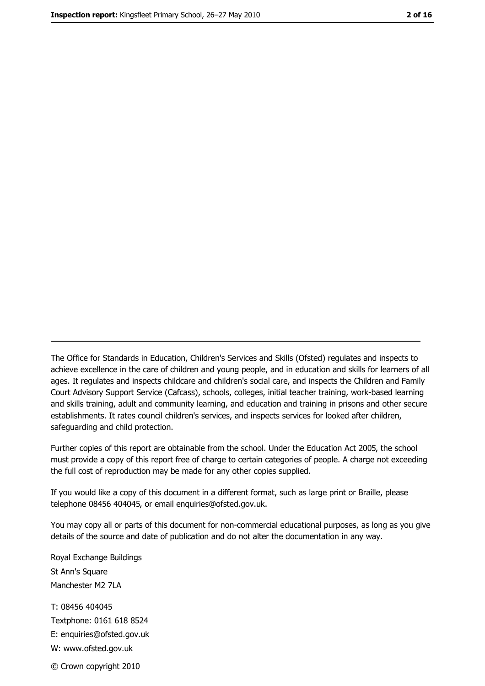The Office for Standards in Education, Children's Services and Skills (Ofsted) regulates and inspects to achieve excellence in the care of children and young people, and in education and skills for learners of all ages. It regulates and inspects childcare and children's social care, and inspects the Children and Family Court Advisory Support Service (Cafcass), schools, colleges, initial teacher training, work-based learning and skills training, adult and community learning, and education and training in prisons and other secure establishments. It rates council children's services, and inspects services for looked after children, safequarding and child protection.

Further copies of this report are obtainable from the school. Under the Education Act 2005, the school must provide a copy of this report free of charge to certain categories of people. A charge not exceeding the full cost of reproduction may be made for any other copies supplied.

If you would like a copy of this document in a different format, such as large print or Braille, please telephone 08456 404045, or email enquiries@ofsted.gov.uk.

You may copy all or parts of this document for non-commercial educational purposes, as long as you give details of the source and date of publication and do not alter the documentation in any way.

Royal Exchange Buildings St Ann's Square Manchester M2 7LA T: 08456 404045 Textphone: 0161 618 8524 E: enquiries@ofsted.gov.uk W: www.ofsted.gov.uk © Crown copyright 2010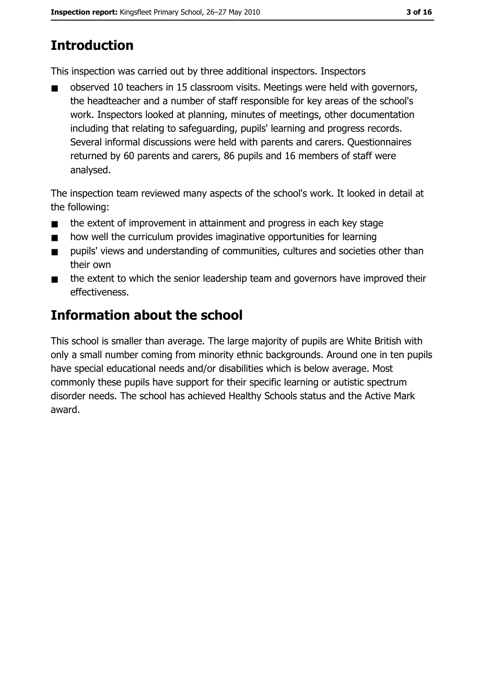# **Introduction**

This inspection was carried out by three additional inspectors. Inspectors

observed 10 teachers in 15 classroom visits. Meetings were held with governors,  $\blacksquare$ the headteacher and a number of staff responsible for key areas of the school's work. Inspectors looked at planning, minutes of meetings, other documentation including that relating to safeguarding, pupils' learning and progress records. Several informal discussions were held with parents and carers. Ouestionnaires returned by 60 parents and carers, 86 pupils and 16 members of staff were analysed.

The inspection team reviewed many aspects of the school's work. It looked in detail at the following:

- the extent of improvement in attainment and progress in each key stage  $\blacksquare$
- how well the curriculum provides imaginative opportunities for learning  $\blacksquare$
- pupils' views and understanding of communities, cultures and societies other than  $\blacksquare$ their own
- the extent to which the senior leadership team and governors have improved their  $\blacksquare$ effectiveness.

# Information about the school

This school is smaller than average. The large majority of pupils are White British with only a small number coming from minority ethnic backgrounds. Around one in ten pupils have special educational needs and/or disabilities which is below average. Most commonly these pupils have support for their specific learning or autistic spectrum disorder needs. The school has achieved Healthy Schools status and the Active Mark award.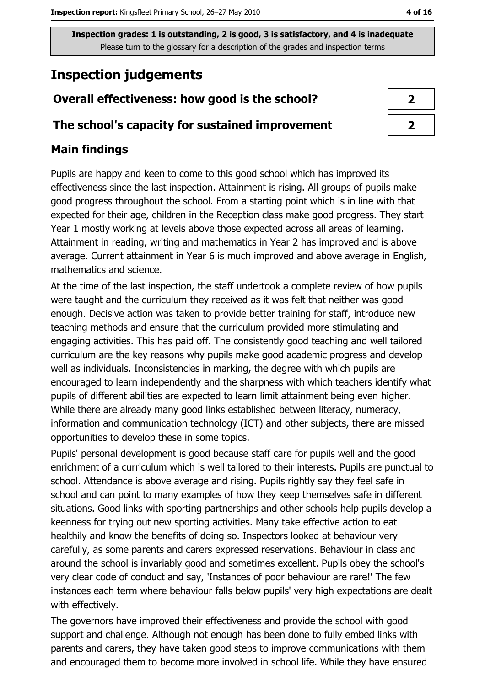# **Inspection judgements**

## Overall effectiveness: how good is the school?

#### The school's capacity for sustained improvement

## **Main findings**

Pupils are happy and keen to come to this good school which has improved its effectiveness since the last inspection. Attainment is rising. All groups of pupils make good progress throughout the school. From a starting point which is in line with that expected for their age, children in the Reception class make good progress. They start Year 1 mostly working at levels above those expected across all areas of learning. Attainment in reading, writing and mathematics in Year 2 has improved and is above average. Current attainment in Year 6 is much improved and above average in English, mathematics and science.

At the time of the last inspection, the staff undertook a complete review of how pupils were taught and the curriculum they received as it was felt that neither was good enough. Decisive action was taken to provide better training for staff, introduce new teaching methods and ensure that the curriculum provided more stimulating and engaging activities. This has paid off. The consistently good teaching and well tailored curriculum are the key reasons why pupils make good academic progress and develop well as individuals. Inconsistencies in marking, the degree with which pupils are encouraged to learn independently and the sharpness with which teachers identify what pupils of different abilities are expected to learn limit attainment being even higher. While there are already many good links established between literacy, numeracy, information and communication technology (ICT) and other subjects, there are missed opportunities to develop these in some topics.

Pupils' personal development is good because staff care for pupils well and the good enrichment of a curriculum which is well tailored to their interests. Pupils are punctual to school. Attendance is above average and rising. Pupils rightly say they feel safe in school and can point to many examples of how they keep themselves safe in different situations. Good links with sporting partnerships and other schools help pupils develop a keenness for trying out new sporting activities. Many take effective action to eat healthily and know the benefits of doing so. Inspectors looked at behaviour very carefully, as some parents and carers expressed reservations. Behaviour in class and around the school is invariably good and sometimes excellent. Pupils obey the school's very clear code of conduct and say, 'Instances of poor behaviour are rare!' The few instances each term where behaviour falls below pupils' very high expectations are dealt with effectively.

The governors have improved their effectiveness and provide the school with good support and challenge. Although not enough has been done to fully embed links with parents and carers, they have taken good steps to improve communications with them and encouraged them to become more involved in school life. While they have ensured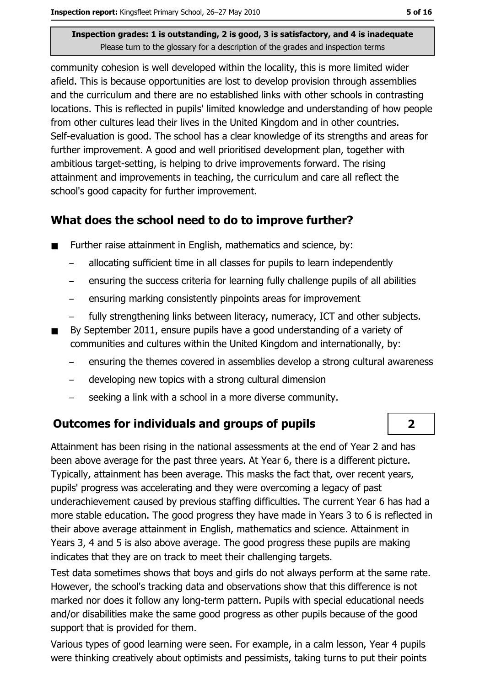community cohesion is well developed within the locality, this is more limited wider afield. This is because opportunities are lost to develop provision through assemblies and the curriculum and there are no established links with other schools in contrasting locations. This is reflected in pupils' limited knowledge and understanding of how people from other cultures lead their lives in the United Kingdom and in other countries. Self-evaluation is good. The school has a clear knowledge of its strengths and areas for further improvement. A good and well prioritised development plan, together with ambitious target-setting, is helping to drive improvements forward. The rising attainment and improvements in teaching, the curriculum and care all reflect the school's good capacity for further improvement.

## What does the school need to do to improve further?

- Further raise attainment in English, mathematics and science, by:  $\blacksquare$ 
	- $\frac{1}{2}$ allocating sufficient time in all classes for pupils to learn independently
	- ensuring the success criteria for learning fully challenge pupils of all abilities  $\equiv$
	- ensuring marking consistently pinpoints areas for improvement  $\overline{\phantom{0}}$
	- fully strengthening links between literacy, numeracy, ICT and other subjects.
- By September 2011, ensure pupils have a good understanding of a variety of communities and cultures within the United Kingdom and internationally, by:
	- ensuring the themes covered in assemblies develop a strong cultural awareness
	- developing new topics with a strong cultural dimension  $\equiv$
	- seeking a link with a school in a more diverse community.

#### **Outcomes for individuals and groups of pupils**

Attainment has been rising in the national assessments at the end of Year 2 and has been above average for the past three years. At Year 6, there is a different picture. Typically, attainment has been average. This masks the fact that, over recent years, pupils' progress was accelerating and they were overcoming a legacy of past underachievement caused by previous staffing difficulties. The current Year 6 has had a more stable education. The good progress they have made in Years 3 to 6 is reflected in their above average attainment in English, mathematics and science. Attainment in Years 3, 4 and 5 is also above average. The good progress these pupils are making indicates that they are on track to meet their challenging targets.

Test data sometimes shows that boys and girls do not always perform at the same rate. However, the school's tracking data and observations show that this difference is not marked nor does it follow any long-term pattern. Pupils with special educational needs and/or disabilities make the same good progress as other pupils because of the good support that is provided for them.

Various types of good learning were seen. For example, in a calm lesson, Year 4 pupils were thinking creatively about optimists and pessimists, taking turns to put their points

 $\overline{\mathbf{2}}$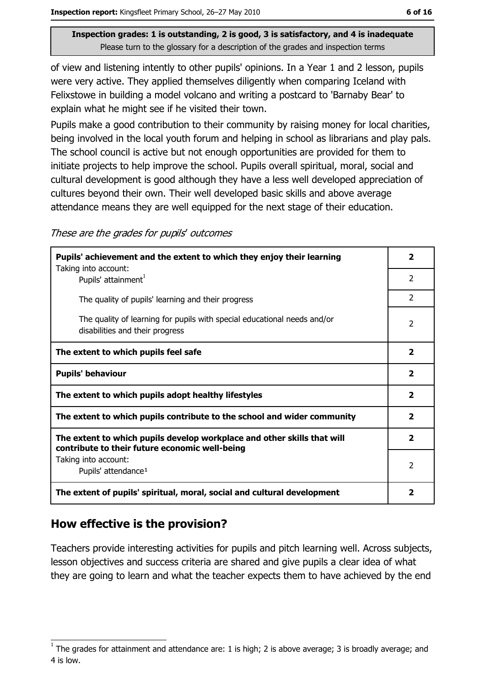of view and listening intently to other pupils' opinions. In a Year 1 and 2 lesson, pupils were very active. They applied themselves diligently when comparing Iceland with Felixstowe in building a model volcano and writing a postcard to 'Barnaby Bear' to explain what he might see if he visited their town.

Pupils make a good contribution to their community by raising money for local charities, being involved in the local youth forum and helping in school as librarians and play pals. The school council is active but not enough opportunities are provided for them to initiate projects to help improve the school. Pupils overall spiritual, moral, social and cultural development is good although they have a less well developed appreciation of cultures beyond their own. Their well developed basic skills and above average attendance means they are well equipped for the next stage of their education.

These are the grades for pupils' outcomes

| Pupils' achievement and the extent to which they enjoy their learning                                                     |                         |
|---------------------------------------------------------------------------------------------------------------------------|-------------------------|
| Taking into account:<br>Pupils' attainment <sup>1</sup>                                                                   | $\overline{2}$          |
| The quality of pupils' learning and their progress                                                                        | 2                       |
| The quality of learning for pupils with special educational needs and/or<br>disabilities and their progress               | $\overline{2}$          |
| The extent to which pupils feel safe                                                                                      | $\overline{\mathbf{2}}$ |
| <b>Pupils' behaviour</b>                                                                                                  | $\overline{\mathbf{2}}$ |
| The extent to which pupils adopt healthy lifestyles                                                                       | $\overline{2}$          |
| The extent to which pupils contribute to the school and wider community                                                   |                         |
| The extent to which pupils develop workplace and other skills that will<br>contribute to their future economic well-being | $\mathbf{2}$            |
| Taking into account:<br>Pupils' attendance <sup>1</sup>                                                                   | 2                       |
| The extent of pupils' spiritual, moral, social and cultural development                                                   | $\mathbf{2}$            |

## How effective is the provision?

Teachers provide interesting activities for pupils and pitch learning well. Across subjects, lesson objectives and success criteria are shared and give pupils a clear idea of what they are going to learn and what the teacher expects them to have achieved by the end

The grades for attainment and attendance are: 1 is high; 2 is above average; 3 is broadly average; and 4 is low.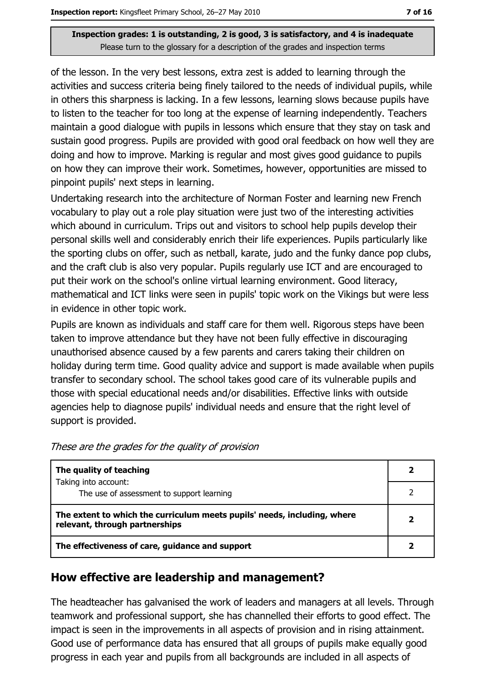of the lesson. In the very best lessons, extra zest is added to learning through the activities and success criteria being finely tailored to the needs of individual pupils, while in others this sharpness is lacking. In a few lessons, learning slows because pupils have to listen to the teacher for too long at the expense of learning independently. Teachers maintain a good dialogue with pupils in lessons which ensure that they stay on task and sustain good progress. Pupils are provided with good oral feedback on how well they are doing and how to improve. Marking is regular and most gives good guidance to pupils on how they can improve their work. Sometimes, however, opportunities are missed to pinpoint pupils' next steps in learning.

Undertaking research into the architecture of Norman Foster and learning new French vocabulary to play out a role play situation were just two of the interesting activities which abound in curriculum. Trips out and visitors to school help pupils develop their personal skills well and considerably enrich their life experiences. Pupils particularly like the sporting clubs on offer, such as netball, karate, judo and the funky dance pop clubs, and the craft club is also very popular. Pupils regularly use ICT and are encouraged to put their work on the school's online virtual learning environment. Good literacy, mathematical and ICT links were seen in pupils' topic work on the Vikings but were less in evidence in other topic work.

Pupils are known as individuals and staff care for them well. Rigorous steps have been taken to improve attendance but they have not been fully effective in discouraging unauthorised absence caused by a few parents and carers taking their children on holiday during term time. Good quality advice and support is made available when pupils transfer to secondary school. The school takes good care of its vulnerable pupils and those with special educational needs and/or disabilities. Effective links with outside agencies help to diagnose pupils' individual needs and ensure that the right level of support is provided.

| The quality of teaching                                                                                    |   |
|------------------------------------------------------------------------------------------------------------|---|
| Taking into account:<br>The use of assessment to support learning                                          |   |
| The extent to which the curriculum meets pupils' needs, including, where<br>relevant, through partnerships | 2 |
| The effectiveness of care, guidance and support                                                            |   |

These are the grades for the quality of provision

#### How effective are leadership and management?

The headteacher has galvanised the work of leaders and managers at all levels. Through teamwork and professional support, she has channelled their efforts to good effect. The impact is seen in the improvements in all aspects of provision and in rising attainment. Good use of performance data has ensured that all groups of pupils make equally good progress in each year and pupils from all backgrounds are included in all aspects of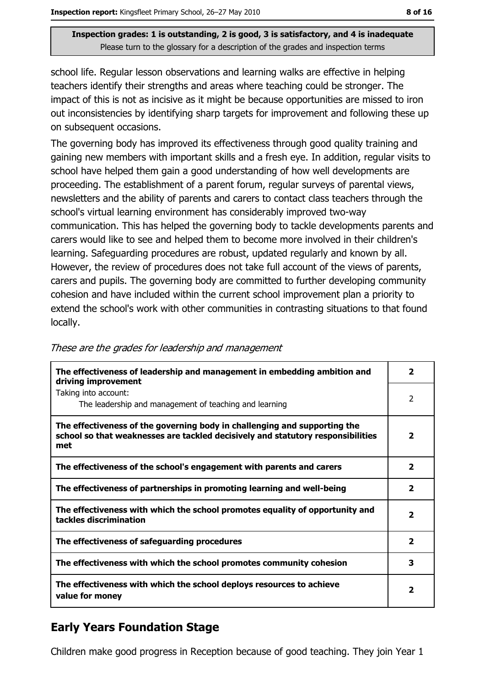school life. Regular lesson observations and learning walks are effective in helping teachers identify their strengths and areas where teaching could be stronger. The impact of this is not as incisive as it might be because opportunities are missed to iron out inconsistencies by identifying sharp targets for improvement and following these up on subsequent occasions.

The governing body has improved its effectiveness through good quality training and gaining new members with important skills and a fresh eye. In addition, regular visits to school have helped them gain a good understanding of how well developments are proceeding. The establishment of a parent forum, regular surveys of parental views, newsletters and the ability of parents and carers to contact class teachers through the school's virtual learning environment has considerably improved two-way communication. This has helped the governing body to tackle developments parents and carers would like to see and helped them to become more involved in their children's learning. Safeguarding procedures are robust, updated regularly and known by all. However, the review of procedures does not take full account of the views of parents, carers and pupils. The governing body are committed to further developing community cohesion and have included within the current school improvement plan a priority to extend the school's work with other communities in contrasting situations to that found locally.

| The effectiveness of leadership and management in embedding ambition and<br>driving improvement                                                                     | 2                       |
|---------------------------------------------------------------------------------------------------------------------------------------------------------------------|-------------------------|
| Taking into account:<br>The leadership and management of teaching and learning                                                                                      | 2                       |
| The effectiveness of the governing body in challenging and supporting the<br>school so that weaknesses are tackled decisively and statutory responsibilities<br>met | $\overline{2}$          |
| The effectiveness of the school's engagement with parents and carers                                                                                                | $\mathbf{2}$            |
| The effectiveness of partnerships in promoting learning and well-being                                                                                              | 2                       |
| The effectiveness with which the school promotes equality of opportunity and<br>tackles discrimination                                                              | $\overline{\mathbf{2}}$ |
| The effectiveness of safeguarding procedures                                                                                                                        | $\mathbf{2}$            |
| The effectiveness with which the school promotes community cohesion                                                                                                 | 3                       |
| The effectiveness with which the school deploys resources to achieve<br>value for money                                                                             | $\overline{\mathbf{2}}$ |

These are the grades for leadership and management

## **Early Years Foundation Stage**

Children make good progress in Reception because of good teaching. They join Year 1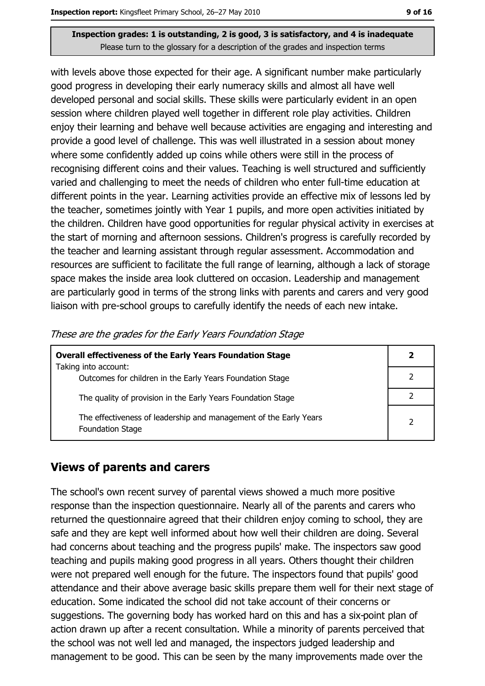with levels above those expected for their age. A significant number make particularly good progress in developing their early numeracy skills and almost all have well developed personal and social skills. These skills were particularly evident in an open session where children played well together in different role play activities. Children enjoy their learning and behave well because activities are engaging and interesting and provide a good level of challenge. This was well illustrated in a session about money where some confidently added up coins while others were still in the process of recognising different coins and their values. Teaching is well structured and sufficiently varied and challenging to meet the needs of children who enter full-time education at different points in the year. Learning activities provide an effective mix of lessons led by the teacher, sometimes jointly with Year 1 pupils, and more open activities initiated by the children. Children have good opportunities for regular physical activity in exercises at the start of morning and afternoon sessions. Children's progress is carefully recorded by the teacher and learning assistant through regular assessment. Accommodation and resources are sufficient to facilitate the full range of learning, although a lack of storage space makes the inside area look cluttered on occasion. Leadership and management are particularly good in terms of the strong links with parents and carers and very good liaison with pre-school groups to carefully identify the needs of each new intake.

| <b>Overall effectiveness of the Early Years Foundation Stage</b>                             |   |
|----------------------------------------------------------------------------------------------|---|
| Taking into account:<br>Outcomes for children in the Early Years Foundation Stage            |   |
| The quality of provision in the Early Years Foundation Stage                                 |   |
| The effectiveness of leadership and management of the Early Years<br><b>Foundation Stage</b> | າ |

These are the grades for the Early Years Foundation Stage

#### **Views of parents and carers**

The school's own recent survey of parental views showed a much more positive response than the inspection questionnaire. Nearly all of the parents and carers who returned the questionnaire agreed that their children enjoy coming to school, they are safe and they are kept well informed about how well their children are doing. Several had concerns about teaching and the progress pupils' make. The inspectors saw good teaching and pupils making good progress in all years. Others thought their children were not prepared well enough for the future. The inspectors found that pupils' good attendance and their above average basic skills prepare them well for their next stage of education. Some indicated the school did not take account of their concerns or suggestions. The governing body has worked hard on this and has a six-point plan of action drawn up after a recent consultation. While a minority of parents perceived that the school was not well led and managed, the inspectors judged leadership and management to be good. This can be seen by the many improvements made over the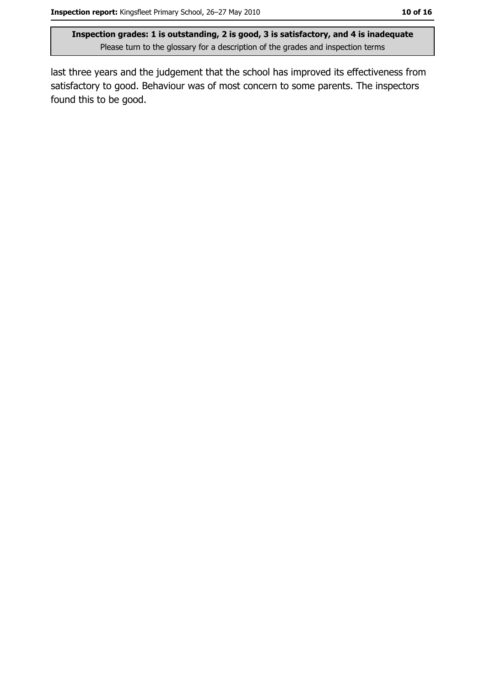last three years and the judgement that the school has improved its effectiveness from satisfactory to good. Behaviour was of most concern to some parents. The inspectors found this to be good.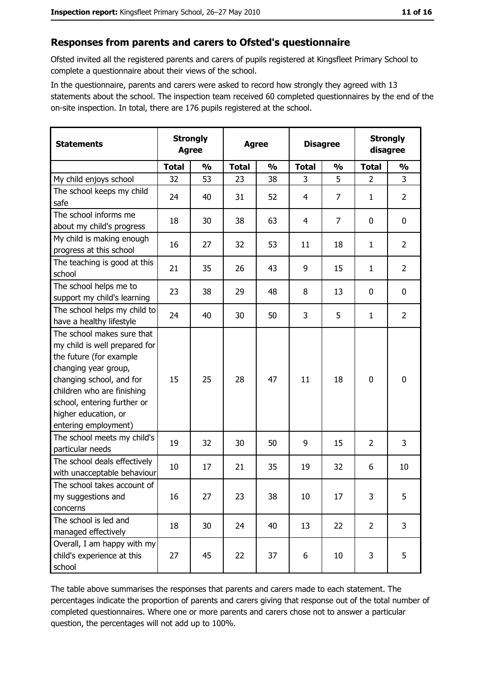#### Responses from parents and carers to Ofsted's questionnaire

Ofsted invited all the registered parents and carers of pupils registered at Kingsfleet Primary School to complete a questionnaire about their views of the school.

In the questionnaire, parents and carers were asked to record how strongly they agreed with 13 statements about the school. The inspection team received 60 completed questionnaires by the end of the on-site inspection. In total, there are 176 pupils registered at the school.

| <b>Statements</b>                                                                                                                                                                                                                                       | <b>Strongly</b><br><b>Agree</b> |               | <b>Agree</b> |               | <b>Disagree</b> |                | <b>Strongly</b><br>disagree |                |
|---------------------------------------------------------------------------------------------------------------------------------------------------------------------------------------------------------------------------------------------------------|---------------------------------|---------------|--------------|---------------|-----------------|----------------|-----------------------------|----------------|
|                                                                                                                                                                                                                                                         | <b>Total</b>                    | $\frac{0}{0}$ | <b>Total</b> | $\frac{0}{0}$ | <b>Total</b>    | $\frac{0}{0}$  | <b>Total</b>                | $\frac{0}{0}$  |
| My child enjoys school                                                                                                                                                                                                                                  | 32                              | 53            | 23           | 38            | 3               | 5              | $\overline{2}$              | 3              |
| The school keeps my child<br>safe                                                                                                                                                                                                                       | 24                              | 40            | 31           | 52            | 4               | $\overline{7}$ | 1                           | $\overline{2}$ |
| The school informs me<br>about my child's progress                                                                                                                                                                                                      | 18                              | 30            | 38           | 63            | 4               | $\overline{7}$ | 0                           | 0              |
| My child is making enough<br>progress at this school                                                                                                                                                                                                    | 16                              | 27            | 32           | 53            | 11              | 18             | 1                           | $\overline{2}$ |
| The teaching is good at this<br>school                                                                                                                                                                                                                  | 21                              | 35            | 26           | 43            | 9               | 15             | 1                           | $\overline{2}$ |
| The school helps me to<br>support my child's learning                                                                                                                                                                                                   | 23                              | 38            | 29           | 48            | 8               | 13             | 0                           | $\mathbf 0$    |
| The school helps my child to<br>have a healthy lifestyle                                                                                                                                                                                                | 24                              | 40            | 30           | 50            | 3               | 5              | 1                           | $\overline{2}$ |
| The school makes sure that<br>my child is well prepared for<br>the future (for example<br>changing year group,<br>changing school, and for<br>children who are finishing<br>school, entering further or<br>higher education, or<br>entering employment) | 15                              | 25            | 28           | 47            | 11              | 18             | 0                           | $\mathbf 0$    |
| The school meets my child's<br>particular needs                                                                                                                                                                                                         | 19                              | 32            | 30           | 50            | 9               | 15             | $\overline{2}$              | 3              |
| The school deals effectively<br>with unacceptable behaviour                                                                                                                                                                                             | 10                              | 17            | 21           | 35            | 19              | 32             | 6                           | 10             |
| The school takes account of<br>my suggestions and<br>concerns                                                                                                                                                                                           | 16                              | 27            | 23           | 38            | 10              | 17             | 3                           | 5              |
| The school is led and<br>managed effectively                                                                                                                                                                                                            | 18                              | 30            | 24           | 40            | 13              | 22             | $\overline{2}$              | 3              |
| Overall, I am happy with my<br>child's experience at this<br>school                                                                                                                                                                                     | 27                              | 45            | 22           | 37            | 6               | 10             | 3                           | 5              |

The table above summarises the responses that parents and carers made to each statement. The percentages indicate the proportion of parents and carers giving that response out of the total number of completed questionnaires. Where one or more parents and carers chose not to answer a particular question, the percentages will not add up to 100%.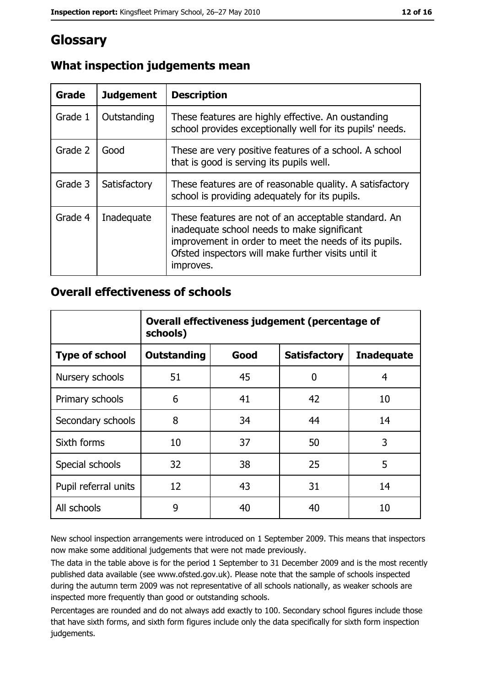# Glossary

| <b>Grade</b> | <b>Judgement</b> | <b>Description</b>                                                                                                                                                                                                               |
|--------------|------------------|----------------------------------------------------------------------------------------------------------------------------------------------------------------------------------------------------------------------------------|
| Grade 1      | Outstanding      | These features are highly effective. An oustanding<br>school provides exceptionally well for its pupils' needs.                                                                                                                  |
| Grade 2      | Good             | These are very positive features of a school. A school<br>that is good is serving its pupils well.                                                                                                                               |
| Grade 3      | Satisfactory     | These features are of reasonable quality. A satisfactory<br>school is providing adequately for its pupils.                                                                                                                       |
| Grade 4      | Inadequate       | These features are not of an acceptable standard. An<br>inadequate school needs to make significant<br>improvement in order to meet the needs of its pupils.<br>Ofsted inspectors will make further visits until it<br>improves. |

## What inspection judgements mean

### **Overall effectiveness of schools**

|                       | Overall effectiveness judgement (percentage of<br>schools) |      |                     |                   |
|-----------------------|------------------------------------------------------------|------|---------------------|-------------------|
| <b>Type of school</b> | <b>Outstanding</b>                                         | Good | <b>Satisfactory</b> | <b>Inadequate</b> |
| Nursery schools       | 51                                                         | 45   | 0                   | 4                 |
| Primary schools       | 6                                                          | 41   | 42                  | 10                |
| Secondary schools     | 8                                                          | 34   | 44                  | 14                |
| Sixth forms           | 10                                                         | 37   | 50                  | 3                 |
| Special schools       | 32                                                         | 38   | 25                  | 5                 |
| Pupil referral units  | 12                                                         | 43   | 31                  | 14                |
| All schools           | 9                                                          | 40   | 40                  | 10                |

New school inspection arrangements were introduced on 1 September 2009. This means that inspectors now make some additional judgements that were not made previously.

The data in the table above is for the period 1 September to 31 December 2009 and is the most recently published data available (see www.ofsted.gov.uk). Please note that the sample of schools inspected during the autumn term 2009 was not representative of all schools nationally, as weaker schools are inspected more frequently than good or outstanding schools.

Percentages are rounded and do not always add exactly to 100. Secondary school figures include those that have sixth forms, and sixth form figures include only the data specifically for sixth form inspection judgements.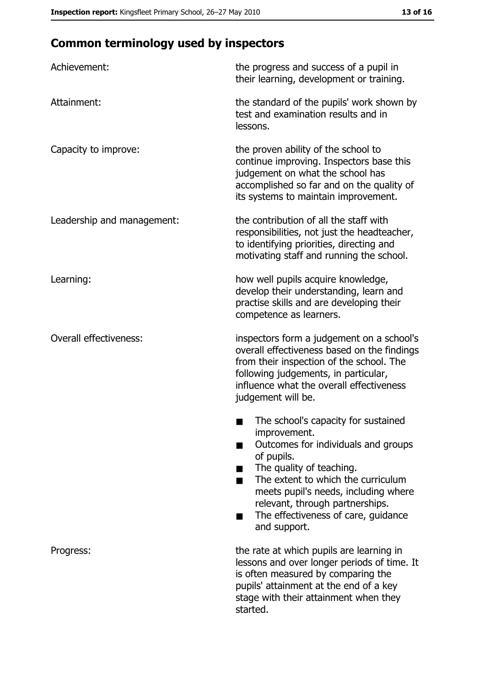# **Common terminology used by inspectors**

| Achievement:                  | the progress and success of a pupil in<br>their learning, development or training.                                                                                                                                                                                                                           |
|-------------------------------|--------------------------------------------------------------------------------------------------------------------------------------------------------------------------------------------------------------------------------------------------------------------------------------------------------------|
| Attainment:                   | the standard of the pupils' work shown by<br>test and examination results and in<br>lessons.                                                                                                                                                                                                                 |
| Capacity to improve:          | the proven ability of the school to<br>continue improving. Inspectors base this<br>judgement on what the school has<br>accomplished so far and on the quality of<br>its systems to maintain improvement.                                                                                                     |
| Leadership and management:    | the contribution of all the staff with<br>responsibilities, not just the headteacher,<br>to identifying priorities, directing and<br>motivating staff and running the school.                                                                                                                                |
| Learning:                     | how well pupils acquire knowledge,<br>develop their understanding, learn and<br>practise skills and are developing their<br>competence as learners.                                                                                                                                                          |
| <b>Overall effectiveness:</b> | inspectors form a judgement on a school's<br>overall effectiveness based on the findings<br>from their inspection of the school. The<br>following judgements, in particular,<br>influence what the overall effectiveness<br>judgement will be.                                                               |
|                               | The school's capacity for sustained<br>improvement.<br>Outcomes for individuals and groups<br>of pupils.<br>The quality of teaching.<br>The extent to which the curriculum<br>meets pupil's needs, including where<br>relevant, through partnerships.<br>The effectiveness of care, guidance<br>and support. |
| Progress:                     | the rate at which pupils are learning in<br>lessons and over longer periods of time. It<br>is often measured by comparing the<br>pupils' attainment at the end of a key<br>stage with their attainment when they<br>started.                                                                                 |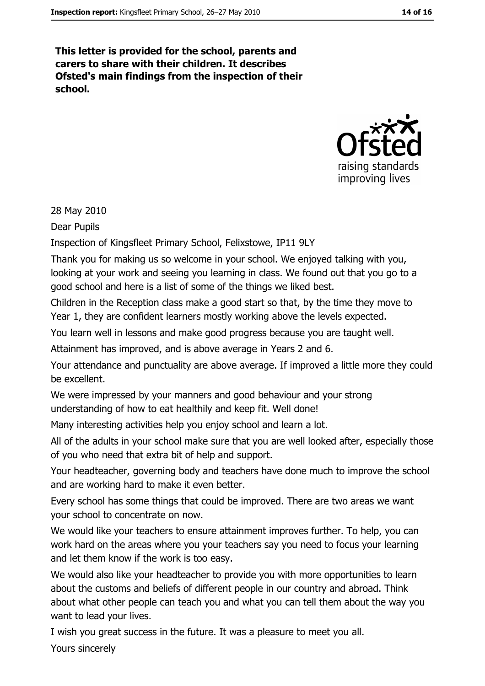This letter is provided for the school, parents and carers to share with their children. It describes Ofsted's main findings from the inspection of their school.



28 May 2010

Dear Pupils

Inspection of Kingsfleet Primary School, Felixstowe, IP11 9LY

Thank you for making us so welcome in your school. We enjoyed talking with you, looking at your work and seeing you learning in class. We found out that you go to a good school and here is a list of some of the things we liked best.

Children in the Reception class make a good start so that, by the time they move to Year 1, they are confident learners mostly working above the levels expected.

You learn well in lessons and make good progress because you are taught well.

Attainment has improved, and is above average in Years 2 and 6.

Your attendance and punctuality are above average. If improved a little more they could be excellent.

We were impressed by your manners and good behaviour and your strong understanding of how to eat healthily and keep fit. Well done!

Many interesting activities help you enjoy school and learn a lot.

All of the adults in your school make sure that you are well looked after, especially those of you who need that extra bit of help and support.

Your headteacher, governing body and teachers have done much to improve the school and are working hard to make it even better.

Every school has some things that could be improved. There are two areas we want vour school to concentrate on now.

We would like your teachers to ensure attainment improves further. To help, you can work hard on the areas where you your teachers say you need to focus your learning and let them know if the work is too easy.

We would also like your headteacher to provide you with more opportunities to learn about the customs and beliefs of different people in our country and abroad. Think about what other people can teach you and what you can tell them about the way you want to lead your lives.

I wish you great success in the future. It was a pleasure to meet you all.

Yours sincerely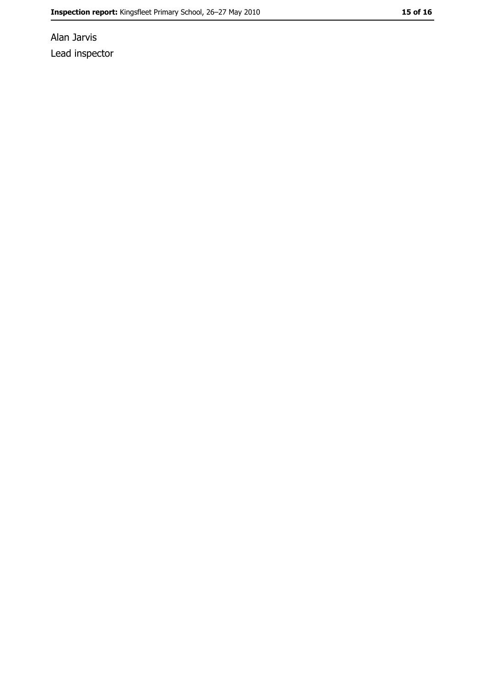Alan Jarvis Lead inspector